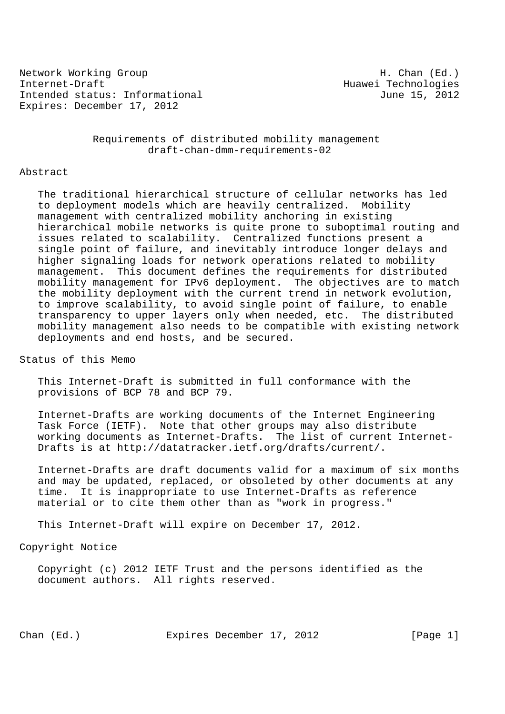Network Working Group Network (Ed.) Internet-Draft Huawei Technologies Intended status: Informational and June 15, 2012 Expires: December 17, 2012

 Requirements of distributed mobility management draft-chan-dmm-requirements-02

# Abstract

 The traditional hierarchical structure of cellular networks has led to deployment models which are heavily centralized. Mobility management with centralized mobility anchoring in existing hierarchical mobile networks is quite prone to suboptimal routing and issues related to scalability. Centralized functions present a single point of failure, and inevitably introduce longer delays and higher signaling loads for network operations related to mobility management. This document defines the requirements for distributed mobility management for IPv6 deployment. The objectives are to match the mobility deployment with the current trend in network evolution, to improve scalability, to avoid single point of failure, to enable transparency to upper layers only when needed, etc. The distributed mobility management also needs to be compatible with existing network deployments and end hosts, and be secured.

Status of this Memo

 This Internet-Draft is submitted in full conformance with the provisions of BCP 78 and BCP 79.

 Internet-Drafts are working documents of the Internet Engineering Task Force (IETF). Note that other groups may also distribute working documents as Internet-Drafts. The list of current Internet- Drafts is at http://datatracker.ietf.org/drafts/current/.

 Internet-Drafts are draft documents valid for a maximum of six months and may be updated, replaced, or obsoleted by other documents at any time. It is inappropriate to use Internet-Drafts as reference material or to cite them other than as "work in progress."

This Internet-Draft will expire on December 17, 2012.

Copyright Notice

 Copyright (c) 2012 IETF Trust and the persons identified as the document authors. All rights reserved.

Chan (Ed.) Expires December 17, 2012 [Page 1]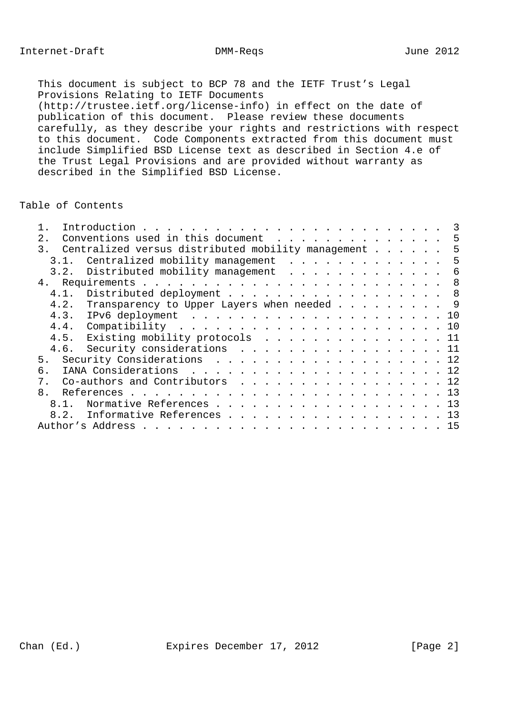This document is subject to BCP 78 and the IETF Trust's Legal Provisions Relating to IETF Documents (http://trustee.ietf.org/license-info) in effect on the date of publication of this document. Please review these documents carefully, as they describe your rights and restrictions with respect to this document. Code Components extracted from this document must include Simplified BSD License text as described in Section 4.e of the Trust Legal Provisions and are provided without warranty as described in the Simplified BSD License.

# Table of Contents

| 2 <sub>1</sub> | Conventions used in this document 5                     |
|----------------|---------------------------------------------------------|
|                | 3. Centralized versus distributed mobility management 5 |
|                | 3.1. Centralized mobility management 5                  |
|                | 3.2. Distributed mobility management 6                  |
|                |                                                         |
|                | 4.1. Distributed deployment 8                           |
|                | 4.2. Transparency to Upper Layers when needed 9         |
|                |                                                         |
|                |                                                         |
|                | 4.5. Existing mobility protocols 11                     |
|                | 4.6. Security considerations 11                         |
| 5 <sub>1</sub> | Security Considerations 12                              |
| б.             |                                                         |
| 7.             | Co-authors and Contributors 12                          |
|                |                                                         |
| 8.1.           | Normative References 13                                 |
| 8.2.           | Informative References 13                               |
|                |                                                         |
|                |                                                         |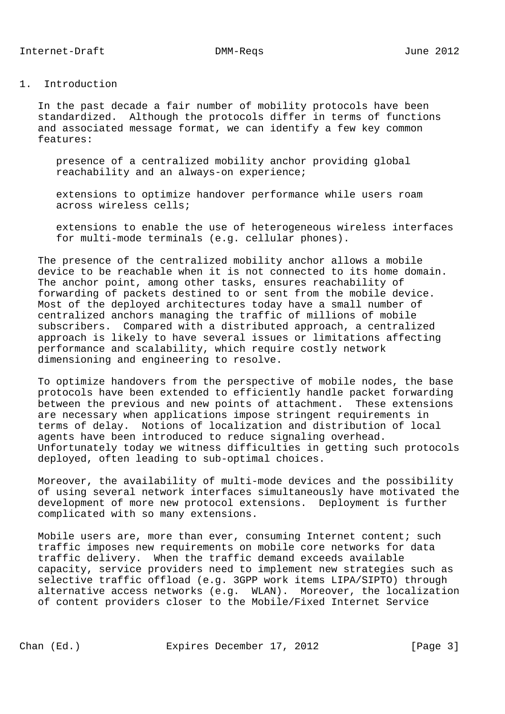## 1. Introduction

 In the past decade a fair number of mobility protocols have been standardized. Although the protocols differ in terms of functions and associated message format, we can identify a few key common features:

 presence of a centralized mobility anchor providing global reachability and an always-on experience;

 extensions to optimize handover performance while users roam across wireless cells;

 extensions to enable the use of heterogeneous wireless interfaces for multi-mode terminals (e.g. cellular phones).

 The presence of the centralized mobility anchor allows a mobile device to be reachable when it is not connected to its home domain. The anchor point, among other tasks, ensures reachability of forwarding of packets destined to or sent from the mobile device. Most of the deployed architectures today have a small number of centralized anchors managing the traffic of millions of mobile subscribers. Compared with a distributed approach, a centralized approach is likely to have several issues or limitations affecting performance and scalability, which require costly network dimensioning and engineering to resolve.

 To optimize handovers from the perspective of mobile nodes, the base protocols have been extended to efficiently handle packet forwarding between the previous and new points of attachment. These extensions are necessary when applications impose stringent requirements in terms of delay. Notions of localization and distribution of local agents have been introduced to reduce signaling overhead. Unfortunately today we witness difficulties in getting such protocols deployed, often leading to sub-optimal choices.

 Moreover, the availability of multi-mode devices and the possibility of using several network interfaces simultaneously have motivated the development of more new protocol extensions. Deployment is further complicated with so many extensions.

Mobile users are, more than ever, consuming Internet content; such traffic imposes new requirements on mobile core networks for data traffic delivery. When the traffic demand exceeds available capacity, service providers need to implement new strategies such as selective traffic offload (e.g. 3GPP work items LIPA/SIPTO) through alternative access networks (e.g. WLAN). Moreover, the localization of content providers closer to the Mobile/Fixed Internet Service

Chan (Ed.) Expires December 17, 2012 [Page 3]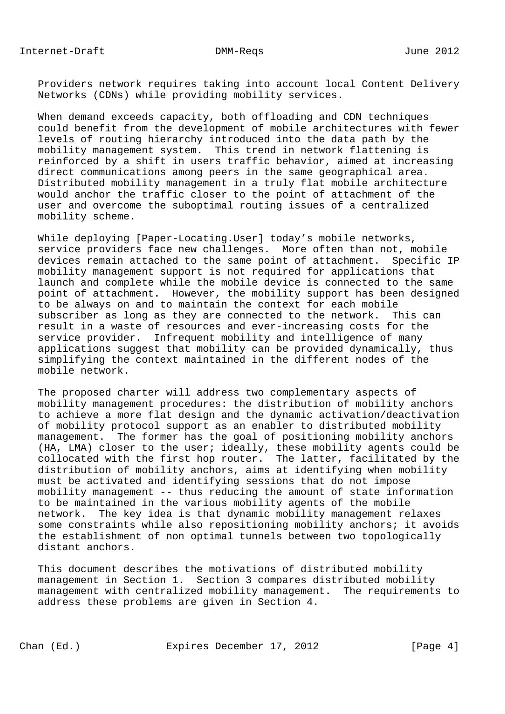Providers network requires taking into account local Content Delivery Networks (CDNs) while providing mobility services.

 When demand exceeds capacity, both offloading and CDN techniques could benefit from the development of mobile architectures with fewer levels of routing hierarchy introduced into the data path by the mobility management system. This trend in network flattening is reinforced by a shift in users traffic behavior, aimed at increasing direct communications among peers in the same geographical area. Distributed mobility management in a truly flat mobile architecture would anchor the traffic closer to the point of attachment of the user and overcome the suboptimal routing issues of a centralized mobility scheme.

 While deploying [Paper-Locating.User] today's mobile networks, service providers face new challenges. More often than not, mobile devices remain attached to the same point of attachment. Specific IP mobility management support is not required for applications that launch and complete while the mobile device is connected to the same point of attachment. However, the mobility support has been designed to be always on and to maintain the context for each mobile subscriber as long as they are connected to the network. This can result in a waste of resources and ever-increasing costs for the service provider. Infrequent mobility and intelligence of many applications suggest that mobility can be provided dynamically, thus simplifying the context maintained in the different nodes of the mobile network.

 The proposed charter will address two complementary aspects of mobility management procedures: the distribution of mobility anchors to achieve a more flat design and the dynamic activation/deactivation of mobility protocol support as an enabler to distributed mobility management. The former has the goal of positioning mobility anchors (HA, LMA) closer to the user; ideally, these mobility agents could be collocated with the first hop router. The latter, facilitated by the distribution of mobility anchors, aims at identifying when mobility must be activated and identifying sessions that do not impose mobility management -- thus reducing the amount of state information to be maintained in the various mobility agents of the mobile network. The key idea is that dynamic mobility management relaxes some constraints while also repositioning mobility anchors; it avoids the establishment of non optimal tunnels between two topologically distant anchors.

 This document describes the motivations of distributed mobility management in Section 1. Section 3 compares distributed mobility management with centralized mobility management. The requirements to address these problems are given in Section 4.

Chan (Ed.) Expires December 17, 2012 [Page 4]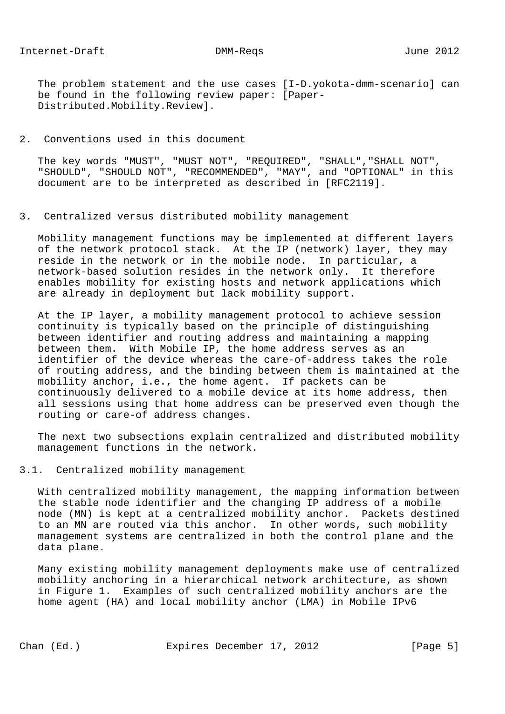The problem statement and the use cases [I-D.yokota-dmm-scenario] can be found in the following review paper: [Paper- Distributed.Mobility.Review].

## 2. Conventions used in this document

 The key words "MUST", "MUST NOT", "REQUIRED", "SHALL","SHALL NOT", "SHOULD", "SHOULD NOT", "RECOMMENDED", "MAY", and "OPTIONAL" in this document are to be interpreted as described in [RFC2119].

#### 3. Centralized versus distributed mobility management

 Mobility management functions may be implemented at different layers of the network protocol stack. At the IP (network) layer, they may reside in the network or in the mobile node. In particular, a network-based solution resides in the network only. It therefore enables mobility for existing hosts and network applications which are already in deployment but lack mobility support.

 At the IP layer, a mobility management protocol to achieve session continuity is typically based on the principle of distinguishing between identifier and routing address and maintaining a mapping between them. With Mobile IP, the home address serves as an identifier of the device whereas the care-of-address takes the role of routing address, and the binding between them is maintained at the mobility anchor, i.e., the home agent. If packets can be continuously delivered to a mobile device at its home address, then all sessions using that home address can be preserved even though the routing or care-of address changes.

 The next two subsections explain centralized and distributed mobility management functions in the network.

# 3.1. Centralized mobility management

 With centralized mobility management, the mapping information between the stable node identifier and the changing IP address of a mobile node (MN) is kept at a centralized mobility anchor. Packets destined to an MN are routed via this anchor. In other words, such mobility management systems are centralized in both the control plane and the data plane.

 Many existing mobility management deployments make use of centralized mobility anchoring in a hierarchical network architecture, as shown in Figure 1. Examples of such centralized mobility anchors are the home agent (HA) and local mobility anchor (LMA) in Mobile IPv6

Chan (Ed.) Expires December 17, 2012 [Page 5]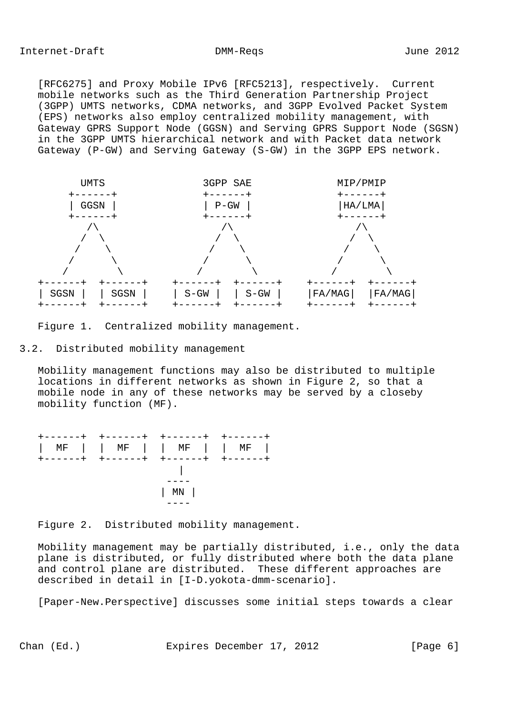[RFC6275] and Proxy Mobile IPv6 [RFC5213], respectively. Current mobile networks such as the Third Generation Partnership Project (3GPP) UMTS networks, CDMA networks, and 3GPP Evolved Packet System (EPS) networks also employ centralized mobility management, with Gateway GPRS Support Node (GGSN) and Serving GPRS Support Node (SGSN) in the 3GPP UMTS hierarchical network and with Packet data network Gateway (P-GW) and Serving Gateway (S-GW) in the 3GPP EPS network.



Figure 1. Centralized mobility management.

3.2. Distributed mobility management

 Mobility management functions may also be distributed to multiple locations in different networks as shown in Figure 2, so that a mobile node in any of these networks may be served by a closeby mobility function (MF).



Figure 2. Distributed mobility management.

 Mobility management may be partially distributed, i.e., only the data plane is distributed, or fully distributed where both the data plane and control plane are distributed. These different approaches are described in detail in [I-D.yokota-dmm-scenario].

[Paper-New.Perspective] discusses some initial steps towards a clear

Chan (Ed.) **Expires December 17, 2012** [Page 6]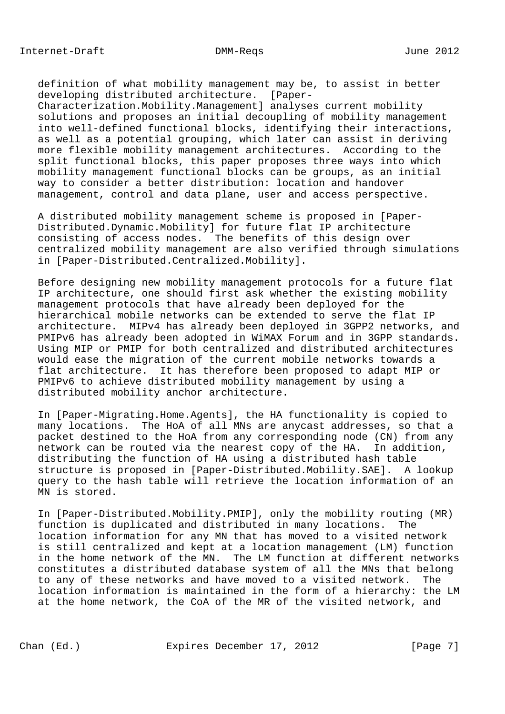definition of what mobility management may be, to assist in better developing distributed architecture. [Paper- Characterization.Mobility.Management] analyses current mobility solutions and proposes an initial decoupling of mobility management into well-defined functional blocks, identifying their interactions, as well as a potential grouping, which later can assist in deriving more flexible mobility management architectures. According to the split functional blocks, this paper proposes three ways into which mobility management functional blocks can be groups, as an initial way to consider a better distribution: location and handover management, control and data plane, user and access perspective.

 A distributed mobility management scheme is proposed in [Paper- Distributed.Dynamic.Mobility] for future flat IP architecture consisting of access nodes. The benefits of this design over centralized mobility management are also verified through simulations in [Paper-Distributed.Centralized.Mobility].

 Before designing new mobility management protocols for a future flat IP architecture, one should first ask whether the existing mobility management protocols that have already been deployed for the hierarchical mobile networks can be extended to serve the flat IP architecture. MIPv4 has already been deployed in 3GPP2 networks, and PMIPv6 has already been adopted in WiMAX Forum and in 3GPP standards. Using MIP or PMIP for both centralized and distributed architectures would ease the migration of the current mobile networks towards a flat architecture. It has therefore been proposed to adapt MIP or PMIPv6 to achieve distributed mobility management by using a distributed mobility anchor architecture.

 In [Paper-Migrating.Home.Agents], the HA functionality is copied to many locations. The HoA of all MNs are anycast addresses, so that a packet destined to the HoA from any corresponding node (CN) from any network can be routed via the nearest copy of the HA. In addition, distributing the function of HA using a distributed hash table structure is proposed in [Paper-Distributed.Mobility.SAE]. A lookup query to the hash table will retrieve the location information of an MN is stored.

 In [Paper-Distributed.Mobility.PMIP], only the mobility routing (MR) function is duplicated and distributed in many locations. The location information for any MN that has moved to a visited network is still centralized and kept at a location management (LM) function in the home network of the MN. The LM function at different networks constitutes a distributed database system of all the MNs that belong to any of these networks and have moved to a visited network. The location information is maintained in the form of a hierarchy: the LM at the home network, the CoA of the MR of the visited network, and

Chan (Ed.) Expires December 17, 2012 [Page 7]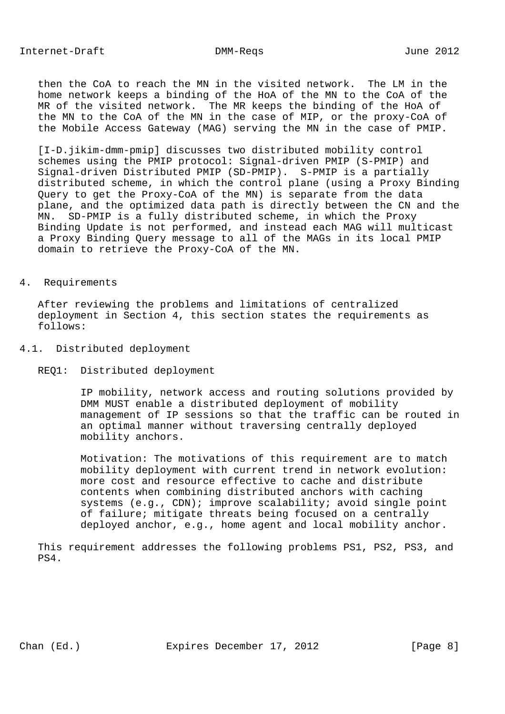then the CoA to reach the MN in the visited network. The LM in the home network keeps a binding of the HoA of the MN to the CoA of the MR of the visited network. The MR keeps the binding of the HoA of the MN to the CoA of the MN in the case of MIP, or the proxy-CoA of the Mobile Access Gateway (MAG) serving the MN in the case of PMIP.

 [I-D.jikim-dmm-pmip] discusses two distributed mobility control schemes using the PMIP protocol: Signal-driven PMIP (S-PMIP) and Signal-driven Distributed PMIP (SD-PMIP). S-PMIP is a partially distributed scheme, in which the control plane (using a Proxy Binding Query to get the Proxy-CoA of the MN) is separate from the data plane, and the optimized data path is directly between the CN and the MN. SD-PMIP is a fully distributed scheme, in which the Proxy Binding Update is not performed, and instead each MAG will multicast a Proxy Binding Query message to all of the MAGs in its local PMIP domain to retrieve the Proxy-CoA of the MN.

## 4. Requirements

 After reviewing the problems and limitations of centralized deployment in Section 4, this section states the requirements as follows:

- 4.1. Distributed deployment
	- REQ1: Distributed deployment

 IP mobility, network access and routing solutions provided by DMM MUST enable a distributed deployment of mobility management of IP sessions so that the traffic can be routed in an optimal manner without traversing centrally deployed mobility anchors.

 Motivation: The motivations of this requirement are to match mobility deployment with current trend in network evolution: more cost and resource effective to cache and distribute contents when combining distributed anchors with caching systems (e.g., CDN); improve scalability; avoid single point of failure; mitigate threats being focused on a centrally deployed anchor, e.g., home agent and local mobility anchor.

 This requirement addresses the following problems PS1, PS2, PS3, and PS4.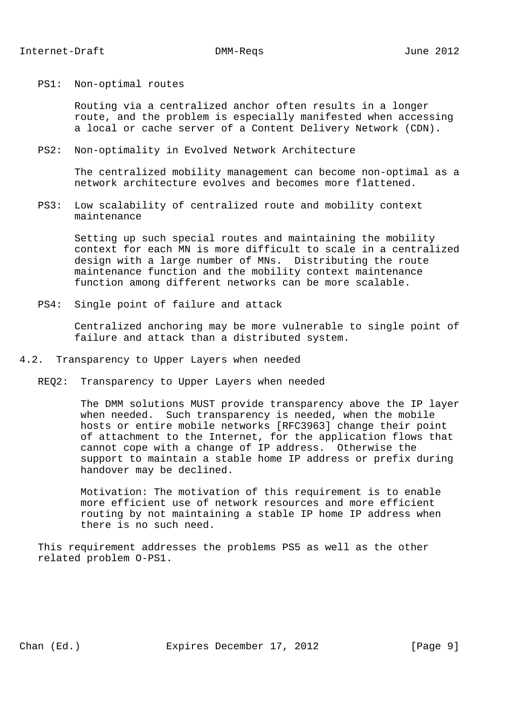### PS1: Non-optimal routes

 Routing via a centralized anchor often results in a longer route, and the problem is especially manifested when accessing a local or cache server of a Content Delivery Network (CDN).

#### PS2: Non-optimality in Evolved Network Architecture

 The centralized mobility management can become non-optimal as a network architecture evolves and becomes more flattened.

 PS3: Low scalability of centralized route and mobility context maintenance

 Setting up such special routes and maintaining the mobility context for each MN is more difficult to scale in a centralized design with a large number of MNs. Distributing the route maintenance function and the mobility context maintenance function among different networks can be more scalable.

PS4: Single point of failure and attack

 Centralized anchoring may be more vulnerable to single point of failure and attack than a distributed system.

- 4.2. Transparency to Upper Layers when needed
	- REQ2: Transparency to Upper Layers when needed

 The DMM solutions MUST provide transparency above the IP layer when needed. Such transparency is needed, when the mobile hosts or entire mobile networks [RFC3963] change their point of attachment to the Internet, for the application flows that cannot cope with a change of IP address. Otherwise the support to maintain a stable home IP address or prefix during handover may be declined.

 Motivation: The motivation of this requirement is to enable more efficient use of network resources and more efficient routing by not maintaining a stable IP home IP address when there is no such need.

 This requirement addresses the problems PS5 as well as the other related problem O-PS1.

Chan (Ed.) Expires December 17, 2012 [Page 9]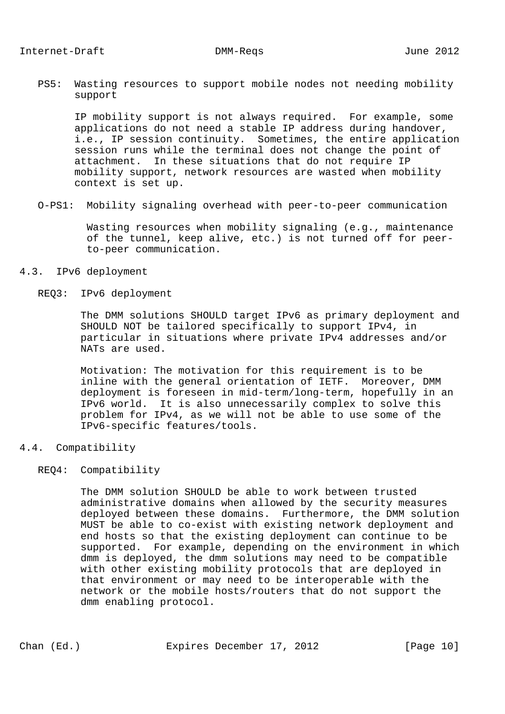PS5: Wasting resources to support mobile nodes not needing mobility support

 IP mobility support is not always required. For example, some applications do not need a stable IP address during handover, i.e., IP session continuity. Sometimes, the entire application session runs while the terminal does not change the point of attachment. In these situations that do not require IP mobility support, network resources are wasted when mobility context is set up.

O-PS1: Mobility signaling overhead with peer-to-peer communication

 Wasting resources when mobility signaling (e.g., maintenance of the tunnel, keep alive, etc.) is not turned off for peer to-peer communication.

- 4.3. IPv6 deployment
	- REQ3: IPv6 deployment

 The DMM solutions SHOULD target IPv6 as primary deployment and SHOULD NOT be tailored specifically to support IPv4, in particular in situations where private IPv4 addresses and/or NATs are used.

 Motivation: The motivation for this requirement is to be inline with the general orientation of IETF. Moreover, DMM deployment is foreseen in mid-term/long-term, hopefully in an IPv6 world. It is also unnecessarily complex to solve this problem for IPv4, as we will not be able to use some of the IPv6-specific features/tools.

4.4. Compatibility

## REQ4: Compatibility

 The DMM solution SHOULD be able to work between trusted administrative domains when allowed by the security measures deployed between these domains. Furthermore, the DMM solution MUST be able to co-exist with existing network deployment and end hosts so that the existing deployment can continue to be supported. For example, depending on the environment in which dmm is deployed, the dmm solutions may need to be compatible with other existing mobility protocols that are deployed in that environment or may need to be interoperable with the network or the mobile hosts/routers that do not support the dmm enabling protocol.

Chan (Ed.) Expires December 17, 2012 [Page 10]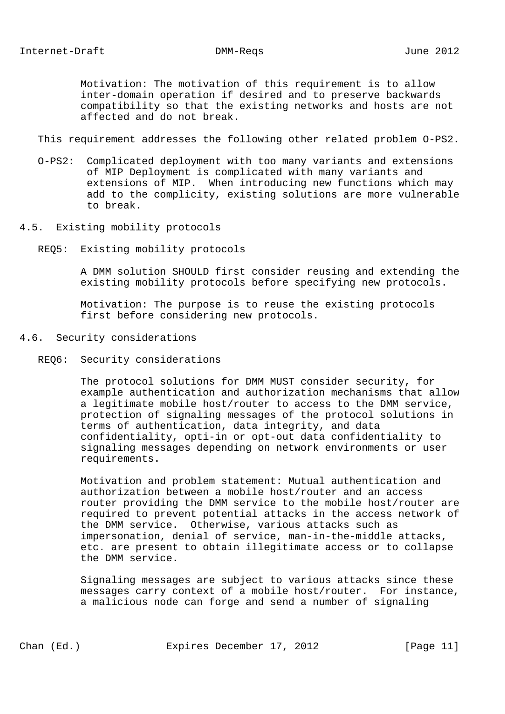Motivation: The motivation of this requirement is to allow inter-domain operation if desired and to preserve backwards compatibility so that the existing networks and hosts are not affected and do not break.

This requirement addresses the following other related problem O-PS2.

- O-PS2: Complicated deployment with too many variants and extensions of MIP Deployment is complicated with many variants and extensions of MIP. When introducing new functions which may add to the complicity, existing solutions are more vulnerable to break.
- 4.5. Existing mobility protocols
	- REQ5: Existing mobility protocols

 A DMM solution SHOULD first consider reusing and extending the existing mobility protocols before specifying new protocols.

 Motivation: The purpose is to reuse the existing protocols first before considering new protocols.

- 4.6. Security considerations
	- REQ6: Security considerations

 The protocol solutions for DMM MUST consider security, for example authentication and authorization mechanisms that allow a legitimate mobile host/router to access to the DMM service, protection of signaling messages of the protocol solutions in terms of authentication, data integrity, and data confidentiality, opti-in or opt-out data confidentiality to signaling messages depending on network environments or user requirements.

 Motivation and problem statement: Mutual authentication and authorization between a mobile host/router and an access router providing the DMM service to the mobile host/router are required to prevent potential attacks in the access network of the DMM service. Otherwise, various attacks such as impersonation, denial of service, man-in-the-middle attacks, etc. are present to obtain illegitimate access or to collapse the DMM service.

 Signaling messages are subject to various attacks since these messages carry context of a mobile host/router. For instance, a malicious node can forge and send a number of signaling

Chan (Ed.) Expires December 17, 2012 [Page 11]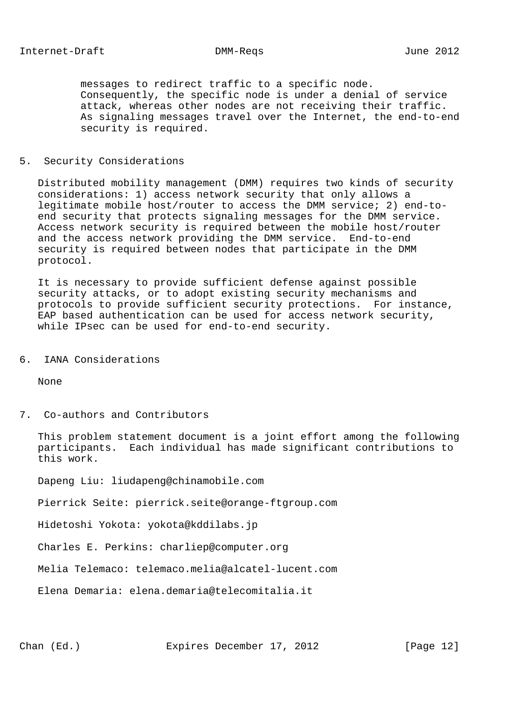messages to redirect traffic to a specific node. Consequently, the specific node is under a denial of service attack, whereas other nodes are not receiving their traffic. As signaling messages travel over the Internet, the end-to-end security is required.

## 5. Security Considerations

 Distributed mobility management (DMM) requires two kinds of security considerations: 1) access network security that only allows a legitimate mobile host/router to access the DMM service; 2) end-to end security that protects signaling messages for the DMM service. Access network security is required between the mobile host/router and the access network providing the DMM service. End-to-end security is required between nodes that participate in the DMM protocol.

 It is necessary to provide sufficient defense against possible security attacks, or to adopt existing security mechanisms and protocols to provide sufficient security protections. For instance, EAP based authentication can be used for access network security, while IPsec can be used for end-to-end security.

# 6. IANA Considerations

None

## 7. Co-authors and Contributors

 This problem statement document is a joint effort among the following participants. Each individual has made significant contributions to this work.

Dapeng Liu: liudapeng@chinamobile.com

Pierrick Seite: pierrick.seite@orange-ftgroup.com

Hidetoshi Yokota: yokota@kddilabs.jp

Charles E. Perkins: charliep@computer.org

Melia Telemaco: telemaco.melia@alcatel-lucent.com

Elena Demaria: elena.demaria@telecomitalia.it

Chan (Ed.) **Expires December 17, 2012** [Page 12]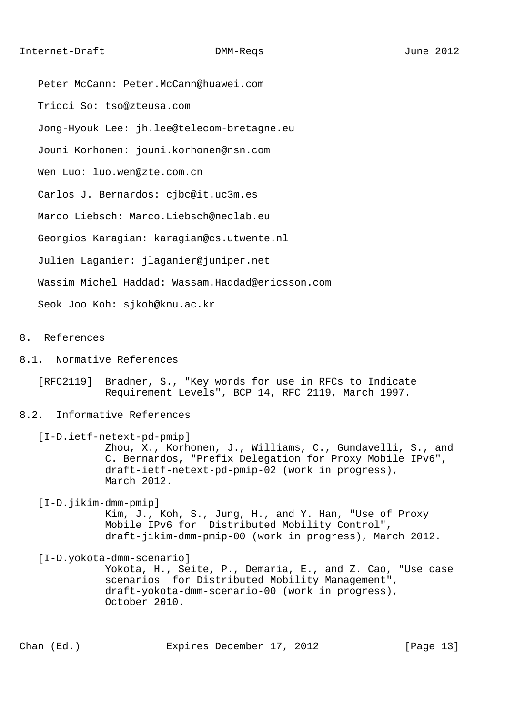Peter McCann: Peter.McCann@huawei.com Tricci So: tso@zteusa.com Jong-Hyouk Lee: jh.lee@telecom-bretagne.eu Jouni Korhonen: jouni.korhonen@nsn.com Wen Luo: luo.wen@zte.com.cn Carlos J. Bernardos: cjbc@it.uc3m.es Marco Liebsch: Marco.Liebsch@neclab.eu Georgios Karagian: karagian@cs.utwente.nl Julien Laganier: jlaganier@juniper.net Wassim Michel Haddad: Wassam.Haddad@ericsson.com Seok Joo Koh: sjkoh@knu.ac.kr

8. References

- 8.1. Normative References
	- [RFC2119] Bradner, S., "Key words for use in RFCs to Indicate Requirement Levels", BCP 14, RFC 2119, March 1997.

### 8.2. Informative References

 [I-D.ietf-netext-pd-pmip] Zhou, X., Korhonen, J., Williams, C., Gundavelli, S., and C. Bernardos, "Prefix Delegation for Proxy Mobile IPv6", draft-ietf-netext-pd-pmip-02 (work in progress), March 2012.

 [I-D.jikim-dmm-pmip] Kim, J., Koh, S., Jung, H., and Y. Han, "Use of Proxy Mobile IPv6 for Distributed Mobility Control", draft-jikim-dmm-pmip-00 (work in progress), March 2012.

 [I-D.yokota-dmm-scenario] Yokota, H., Seite, P., Demaria, E., and Z. Cao, "Use case scenarios for Distributed Mobility Management", draft-yokota-dmm-scenario-00 (work in progress), October 2010.

Chan (Ed.) **Expires December 17, 2012** [Page 13]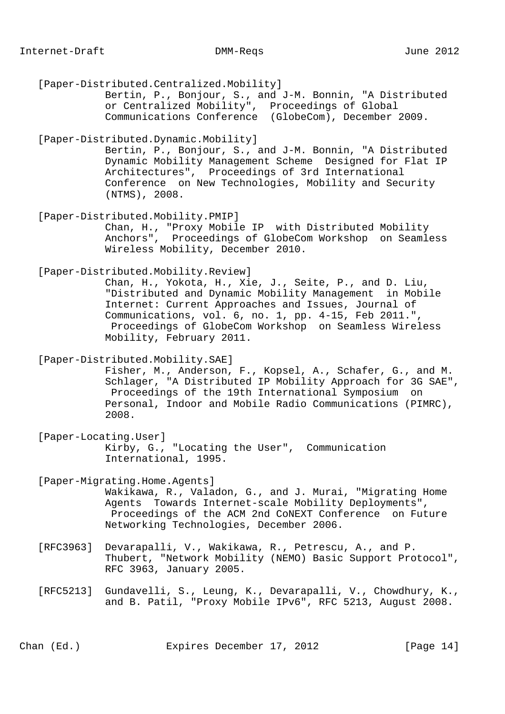[Paper-Distributed.Centralized.Mobility] Bertin, P., Bonjour, S., and J-M. Bonnin, "A Distributed or Centralized Mobility", Proceedings of Global Communications Conference (GlobeCom), December 2009. [Paper-Distributed.Dynamic.Mobility] Bertin, P., Bonjour, S., and J-M. Bonnin, "A Distributed Dynamic Mobility Management Scheme Designed for Flat IP Architectures", Proceedings of 3rd International Conference on New Technologies, Mobility and Security (NTMS), 2008. [Paper-Distributed.Mobility.PMIP] Chan, H., "Proxy Mobile IP with Distributed Mobility Anchors", Proceedings of GlobeCom Workshop on Seamless Wireless Mobility, December 2010. [Paper-Distributed.Mobility.Review] Chan, H., Yokota, H., Xie, J., Seite, P., and D. Liu, "Distributed and Dynamic Mobility Management in Mobile Internet: Current Approaches and Issues, Journal of Communications, vol. 6, no. 1, pp. 4-15, Feb 2011.", Proceedings of GlobeCom Workshop on Seamless Wireless Mobility, February 2011. [Paper-Distributed.Mobility.SAE] Fisher, M., Anderson, F., Kopsel, A., Schafer, G., and M. Schlager, "A Distributed IP Mobility Approach for 3G SAE", Proceedings of the 19th International Symposium on Personal, Indoor and Mobile Radio Communications (PIMRC), 2008. [Paper-Locating.User] Kirby, G., "Locating the User", Communication International, 1995. [Paper-Migrating.Home.Agents] Wakikawa, R., Valadon, G., and J. Murai, "Migrating Home Agents Towards Internet-scale Mobility Deployments", Proceedings of the ACM 2nd CoNEXT Conference on Future Networking Technologies, December 2006. [RFC3963] Devarapalli, V., Wakikawa, R., Petrescu, A., and P. Thubert, "Network Mobility (NEMO) Basic Support Protocol", RFC 3963, January 2005. [RFC5213] Gundavelli, S., Leung, K., Devarapalli, V., Chowdhury, K., and B. Patil, "Proxy Mobile IPv6", RFC 5213, August 2008.

Chan (Ed.) Expires December 17, 2012 [Page 14]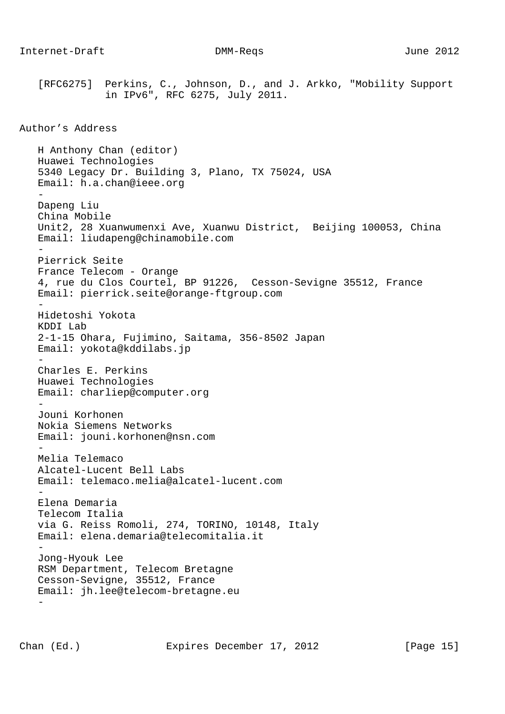[RFC6275] Perkins, C., Johnson, D., and J. Arkko, "Mobility Support in IPv6", RFC 6275, July 2011. Author's Address H Anthony Chan (editor) Huawei Technologies 5340 Legacy Dr. Building 3, Plano, TX 75024, USA Email: h.a.chan@ieee.org - Dapeng Liu China Mobile Unit2, 28 Xuanwumenxi Ave, Xuanwu District, Beijing 100053, China Email: liudapeng@chinamobile.com - Pierrick Seite France Telecom - Orange 4, rue du Clos Courtel, BP 91226, Cesson-Sevigne 35512, France Email: pierrick.seite@orange-ftgroup.com - Hidetoshi Yokota KDDI Lab 2-1-15 Ohara, Fujimino, Saitama, 356-8502 Japan Email: yokota@kddilabs.jp - Charles E. Perkins Huawei Technologies Email: charliep@computer.org - Jouni Korhonen Nokia Siemens Networks Email: jouni.korhonen@nsn.com - Melia Telemaco Alcatel-Lucent Bell Labs Email: telemaco.melia@alcatel-lucent.com - Elena Demaria Telecom Italia via G. Reiss Romoli, 274, TORINO, 10148, Italy Email: elena.demaria@telecomitalia.it - Jong-Hyouk Lee RSM Department, Telecom Bretagne Cesson-Sevigne, 35512, France Email: jh.lee@telecom-bretagne.eu -

Chan (Ed.) **Expires December 17, 2012** [Page 15]